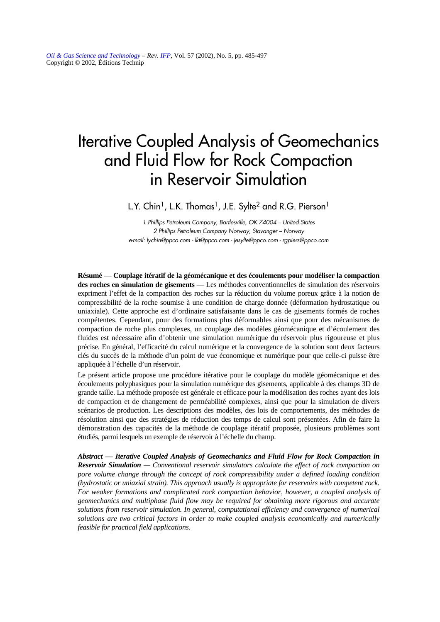*[Oil & Gas Science and Technology](http://ogst.ifp.fr/) – Rev. [IFP,](http://www.ifp.fr/)* Vol. 57 (2002), No. 5, pp. 485-497 Copyright © 2002, Éditions Technip

# Iterative Coupled Analysis of Geomechanics and Fluid Flow for Rock Compaction in Reservoir Simulation

L.Y. Chin<sup>1</sup>, L.K. Thomas<sup>1</sup>, J.E. Sylte<sup>2</sup> and R.G. Pierson<sup>1</sup>

*1 Phillips Petroleum Company, Bartlesville, OK 74004 – United States 2 Phillips Petroleum Company Norway, Stavanger – Norway e-mail: lychin@ppco.com - lkt@ppco.com - jesylte@ppco.com - rgpiers@ppco.com* 

**Résumé** — **Couplage itératif de la géomécanique et des écoulements pour modéliser la compaction des roches en simulation de gisements** — Les méthodes conventionnelles de simulation des réservoirs expriment l'effet de la compaction des roches sur la réduction du volume poreux grâce à la notion de compressibilité de la roche soumise à une condition de charge donnée (déformation hydrostatique ou uniaxiale). Cette approche est d'ordinaire satisfaisante dans le cas de gisements formés de roches compétentes. Cependant, pour des formations plus déformables ainsi que pour des mécanismes de compaction de roche plus complexes, un couplage des modèles géomécanique et d'écoulement des fluides est nécessaire afin d'obtenir une simulation numérique du réservoir plus rigoureuse et plus précise. En général, l'efficacité du calcul numérique et la convergence de la solution sont deux facteurs clés du succès de la méthode d'un point de vue économique et numérique pour que celle-ci puisse être appliquée à l'échelle d'un réservoir.

Le présent article propose une procédure itérative pour le couplage du modèle géomécanique et des écoulements polyphasiques pour la simulation numérique des gisements, applicable à des champs 3D de grande taille. La méthode proposée est générale et efficace pour la modélisation des roches ayant des lois de compaction et de changement de perméabilité complexes, ainsi que pour la simulation de divers scénarios de production. Les descriptions des modèles, des lois de comportements, des méthodes de résolution ainsi que des stratégies de réduction des temps de calcul sont présentées. Afin de faire la démonstration des capacités de la méthode de couplage itératif proposée, plusieurs problèmes sont étudiés, parmi lesquels un exemple de réservoir à l'échelle du champ.

*Abstract* — *Iterative Coupled Analysis of Geomechanics and Fluid Flow for Rock Compaction in Reservoir Simulation — Conventional reservoir simulators calculate the effect of rock compaction on pore volume change through the concept of rock compressibility under a defined loading condition (hydrostatic or uniaxial strain). This approach usually is appropriate for reservoirs with competent rock. For weaker formations and complicated rock compaction behavior, however, a coupled analysis of geomechanics and multiphase fluid flow may be required for obtaining more rigorous and accurate solutions from reservoir simulation. In general, computational efficiency and convergence of numerical solutions are two critical factors in order to make coupled analysis economically and numerically feasible for practical field applications.*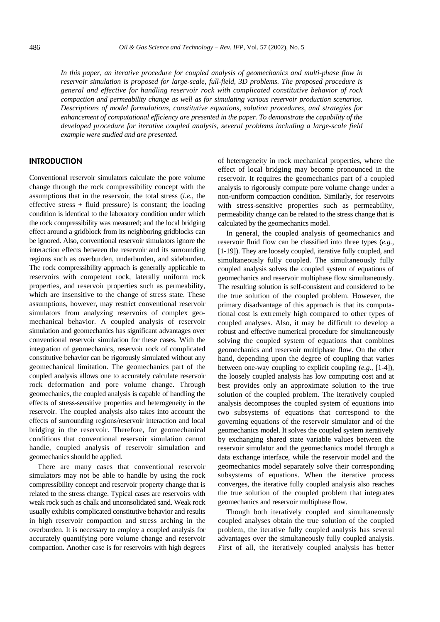*In this paper, an iterative procedure for coupled analysis of geomechanics and multi-phase flow in reservoir simulation is proposed for large-scale, full-field, 3D problems. The proposed procedure is general and effective for handling reservoir rock with complicated constitutive behavior of rock compaction and permeability change as well as for simulating various reservoir production scenarios. Descriptions of model formulations, constitutive equations, solution procedures, and strategies for enhancement of computational efficiency are presented in the paper. To demonstrate the capability of the developed procedure for iterative coupled analysis, several problems including a large-scale field example were studied and are presented.*

## **INTRODUCTION**

Conventional reservoir simulators calculate the pore volume change through the rock compressibility concept with the assumptions that in the reservoir, the total stress (*i.e.*, the effective stress  $+$  fluid pressure) is constant; the loading condition is identical to the laboratory condition under which the rock compressibility was measured; and the local bridging effect around a gridblock from its neighboring gridblocks can be ignored. Also, conventional reservoir simulators ignore the interaction effects between the reservoir and its surrounding regions such as overburden, underburden, and sideburden. The rock compressibility approach is generally applicable to reservoirs with competent rock, laterally uniform rock properties, and reservoir properties such as permeability, which are insensitive to the change of stress state. These assumptions, however, may restrict conventional reservoir simulators from analyzing reservoirs of complex geomechanical behavior. A coupled analysis of reservoir simulation and geomechanics has significant advantages over conventional reservoir simulation for these cases. With the integration of geomechanics, reservoir rock of complicated constitutive behavior can be rigorously simulated without any geomechanical limitation. The geomechanics part of the coupled analysis allows one to accurately calculate reservoir rock deformation and pore volume change. Through geomechanics, the coupled analysis is capable of handling the effects of stress-sensitive properties and heterogeneity in the reservoir. The coupled analysis also takes into account the effects of surrounding regions/reservoir interaction and local bridging in the reservoir. Therefore, for geomechanical conditions that conventional reservoir simulation cannot handle, coupled analysis of reservoir simulation and geomechanics should be applied.

There are many cases that conventional reservoir simulators may not be able to handle by using the rock compressibility concept and reservoir property change that is related to the stress change. Typical cases are reservoirs with weak rock such as chalk and unconsolidated sand. Weak rock usually exhibits complicated constitutive behavior and results in high reservoir compaction and stress arching in the overburden. It is necessary to employ a coupled analysis for accurately quantifying pore volume change and reservoir compaction. Another case is for reservoirs with high degrees of heterogeneity in rock mechanical properties, where the effect of local bridging may become pronounced in the reservoir. It requires the geomechanics part of a coupled analysis to rigorously compute pore volume change under a non-uniform compaction condition. Similarly, for reservoirs with stress-sensitive properties such as permeability, permeability change can be related to the stress change that is calculated by the geomechanics model.

In general, the coupled analysis of geomechanics and reservoir fluid flow can be classified into three types (*e.g.,* [1-19]). They are loosely coupled, iterative fully coupled, and simultaneously fully coupled. The simultaneously fully coupled analysis solves the coupled system of equations of geomechanics and reservoir multiphase flow simultaneously. The resulting solution is self-consistent and considered to be the true solution of the coupled problem. However, the primary disadvantage of this approach is that its computational cost is extremely high compared to other types of coupled analyses. Also, it may be difficult to develop a robust and effective numerical procedure for simultaneously solving the coupled system of equations that combines geomechanics and reservoir multiphase flow. On the other hand, depending upon the degree of coupling that varies between one-way coupling to explicit coupling (*e.g.,* [1-4]), the loosely coupled analysis has low computing cost and at best provides only an approximate solution to the true solution of the coupled problem. The iteratively coupled analysis decomposes the coupled system of equations into two subsystems of equations that correspond to the governing equations of the reservoir simulator and of the geomechanics model. It solves the coupled system iteratively by exchanging shared state variable values between the reservoir simulator and the geomechanics model through a data exchange interface, while the reservoir model and the geomechanics model separately solve their corresponding subsystems of equations. When the iterative process converges, the iterative fully coupled analysis also reaches the true solution of the coupled problem that integrates geomechanics and reservoir multiphase flow.

Though both iteratively coupled and simultaneously coupled analyses obtain the true solution of the coupled problem, the iterative fully coupled analysis has several advantages over the simultaneously fully coupled analysis. First of all, the iteratively coupled analysis has better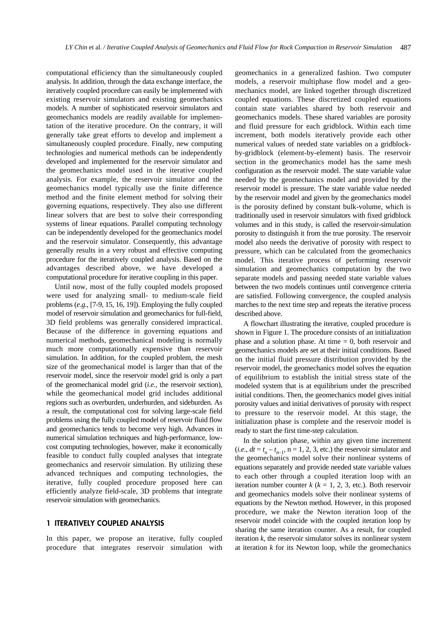computational efficiency than the simultaneously coupled analysis. In addition, through the data exchange interface, the iteratively coupled procedure can easily be implemented with existing reservoir simulators and existing geomechanics models. A number of sophisticated reservoir simulators and geomechanics models are readily available for implementation of the iterative procedure. On the contrary, it will generally take great efforts to develop and implement a simultaneously coupled procedure. Finally, new computing technologies and numerical methods can be independently developed and implemented for the reservoir simulator and the geomechanics model used in the iterative coupled analysis. For example, the reservoir simulator and the geomechanics model typically use the finite difference method and the finite element method for solving their governing equations, respectively. They also use different linear solvers that are best to solve their corresponding systems of linear equations. Parallel computing technology can be independently developed for the geomechanics model and the reservoir simulator. Consequently, this advantage generally results in a very robust and effective computing procedure for the iteratively coupled analysis. Based on the advantages described above, we have developed a computational procedure for iterative coupling in this paper.

Until now, most of the fully coupled models proposed were used for analyzing small- to medium-scale field problems (*e.g.,* [7-9, 15, 16, 19]). Employing the fully coupled model of reservoir simulation and geomechanics for full-field, 3D field problems was generally considered impractical. Because of the difference in governing equations and numerical methods, geomechanical modeling is normally much more computationally expensive than reservoir simulation. In addition, for the coupled problem, the mesh size of the geomechanical model is larger than that of the reservoir model, since the reservoir model grid is only a part of the geomechanical model grid (*i.e.,* the reservoir section), while the geomechanical model grid includes additional regions such as overburden, underburden, and sideburden. As a result, the computational cost for solving large-scale field problems using the fully coupled model of reservoir fluid flow and geomechanics tends to become very high. Advances in numerical simulation techniques and high-performance, lowcost computing technologies, however, make it economically feasible to conduct fully coupled analyses that integrate geomechanics and reservoir simulation. By utilizing these advanced techniques and computing technologies, the iterative, fully coupled procedure proposed here can efficiently analyze field-scale, 3D problems that integrate reservoir simulation with geomechanics.

# **1 ITERATIVELY COUPLED ANALYSIS**

In this paper, we propose an iterative, fully coupled procedure that integrates reservoir simulation with geomechanics in a generalized fashion. Two computer models, a reservoir multiphase flow model and a geomechanics model, are linked together through discretized coupled equations. These discretized coupled equations contain state variables shared by both reservoir and geomechanics models. These shared variables are porosity and fluid pressure for each gridblock. Within each time increment, both models iteratively provide each other numerical values of needed state variables on a gridblockby-gridblock (element-by-element) basis. The reservoir section in the geomechanics model has the same mesh configuration as the reservoir model. The state variable value needed by the geomechanics model and provided by the reservoir model is pressure. The state variable value needed by the reservoir model and given by the geomechanics model is the porosity defined by constant bulk-volume, which is traditionally used in reservoir simulators with fixed gridblock volumes and in this study, is called the reservoir-simulation porosity to distinguish it from the true porosity. The reservoir model also needs the derivative of porosity with respect to pressure, which can be calculated from the geomechanics model. This iterative process of performing reservoir simulation and geomechanics computation by the two separate models and passing needed state variable values between the two models continues until convergence criteria are satisfied. Following convergence, the coupled analysis marches to the next time step and repeats the iterative process described above.

A flowchart illustrating the iterative, coupled procedure is shown in Figure 1. The procedure consists of an initialization phase and a solution phase. At time  $= 0$ , both reservoir and geomechanics models are set at their initial conditions. Based on the initial fluid pressure distribution provided by the reservoir model, the geomechanics model solves the equation of equilibrium to establish the initial stress state of the modeled system that is at equilibrium under the prescribed initial conditions. Then, the geomechanics model gives initial porosity values and initial derivatives of porosity with respect to pressure to the reservoir model. At this stage, the initialization phase is complete and the reservoir model is ready to start the first time-step calculation.

In the solution phase, within any given time increment (*i.e.*,  $dt = t_n - t_{n-1}$ ,  $n = 1, 2, 3$ , etc.) the reservoir simulator and the geomechanics model solve their nonlinear systems of equations separately and provide needed state variable values to each other through a coupled iteration loop with an iteration number counter  $k$  ( $k = 1, 2, 3$ , etc.). Both reservoir and geomechanics models solve their nonlinear systems of equations by the Newton method. However, in this proposed procedure, we make the Newton iteration loop of the reservoir model coincide with the coupled iteration loop by sharing the same iteration counter. As a result, for coupled iteration *k*, the reservoir simulator solves its nonlinear system at iteration *k* for its Newton loop, while the geomechanics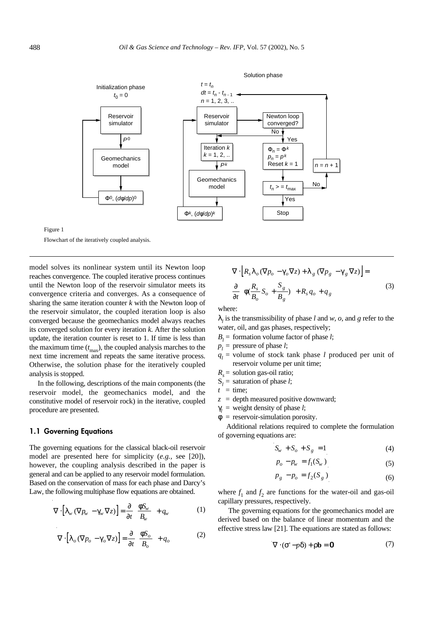

#### Figure 1

Flowchart of the iteratively coupled analysis.

model solves its nonlinear system until its Newton loop reaches convergence. The coupled iterative process continues until the Newton loop of the reservoir simulator meets its convergence criteria and converges. As a consequence of sharing the same iteration counter *k* with the Newton loop of the reservoir simulator, the coupled iteration loop is also converged because the geomechanics model always reaches its converged solution for every iteration *k*. After the solution update, the iteration counter is reset to 1. If time is less than the maximum time  $(t_{\text{max}})$ , the coupled analysis marches to the next time increment and repeats the same iterative process. Otherwise, the solution phase for the iteratively coupled analysis is stopped.

In the following, descriptions of the main components (the reservoir model, the geomechanics model, and the constitutive model of reservoir rock) in the iterative, coupled procedure are presented.

#### **1.1 Governing Equations**

The governing equations for the classical black-oil reservoir model are presented here for simplicity (*e.g.,* see [20]), however, the coupling analysis described in the paper is general and can be applied to any reservoir model formulation. Based on the conservation of mass for each phase and Darcy's Law, the following multiphase flow equations are obtained.

$$
\nabla \cdot \left[ \lambda_w \left( \nabla p_w - \gamma_w \nabla z \right) \right] = \frac{\partial}{\partial t} \left[ \frac{\phi S_w}{B_w} \right] + q_w \tag{1}
$$

$$
\nabla \cdot \left[ \lambda_o \left( \nabla p_o - \gamma_o \nabla z \right) \right] = \frac{\partial}{\partial t} \left[ \frac{\phi S_o}{B_o} \right] + q_o \tag{2}
$$

$$
\nabla \cdot \left[ R_s \lambda_o \left( \nabla p_o - \gamma_o \nabla z \right) + \lambda_g \left( \nabla p_g - \gamma_g \nabla z \right) \right] =
$$
  
\n
$$
\frac{\partial}{\partial t} \left[ \phi \left( \frac{R_s}{B_o} S_o + \frac{S_g}{B_g} \right) \right] + R_s q_o + q_g
$$
\n(3)

where:

 $\lambda$ <sup>*l*</sup> is the transmissibility of phase *l* and *w*, *o*, and *g* refer to the water, oil, and gas phases, respectively;

- $B_i$  = formation volume factor of phase *l*;
- $p_i$  = pressure of phase *l*;
- $q_l$  = volume of stock tank phase *l* produced per unit of reservoir volume per unit time;
- $R<sub>s</sub>$  = solution gas-oil ratio;
- $S_i$  = saturation of phase *l*;
- $t =$  time;
- *z* = depth measured positive downward;
- $\gamma$ <sup>*l*</sup> = weight density of phase *l*;
- $\phi$  = reservoir-simulation porosity.

Additional relations required to complete the formulation of governing equations are:

$$
S_w + S_o + S_g = 1 \tag{4}
$$

$$
p_o - p_w = f_1(S_w)
$$
\n<sup>(5)</sup>

$$
p_g - p_o = f_2(S_g)
$$
 (6)

where  $f_1$  and  $f_2$  are functions for the water-oil and gas-oil capillary pressures, respectively.

The governing equations for the geomechanics model are derived based on the balance of linear momentum and the effective stress law [21]. The equations are stated as follows:

$$
\nabla \cdot (\sigma' - p\delta) + \rho \mathbf{b} = \mathbf{0} \tag{7}
$$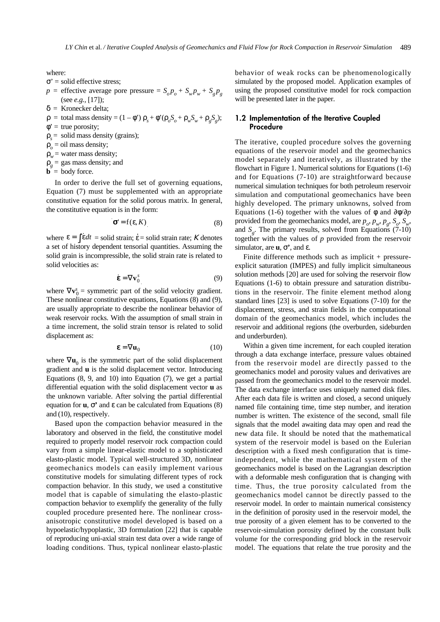where:

- $\sigma$ ' = solid effective stress;
- $p =$  effective average pore pressure =  $S_o p_o + S_w p_w + S_g p_g$ (see *e.g.,* [17]);
- $\delta$  = Kronecker delta;

 $\rho = \text{total mass density} = (1 - \phi') \rho_s + \phi'(\rho_o S_o + \rho_w S_w + \rho_g S_g);$ 

- $\phi'$  = true porosity;
- ρ*s* = solid mass density (grains);
- $\rho$ <sub>o</sub> = oil mass density;
- $\rho_w$  = water mass density;
- $\rho_g$  = gas mass density; and
- $\mathbf{b}$  = body force.

In order to derive the full set of governing equations, Equation (7) must be supplemented with an appropriate constitutive equation for the solid porous matrix. In general, the constitutive equation is in the form:

$$
\sigma' = f(\varepsilon, K) \tag{8}
$$

where  $\varepsilon = \int \dot{\varepsilon} dt =$  solid strain;  $\dot{\varepsilon} =$  solid strain rate; K denotes a set of history dependent tensorial quantities. Assuming the solid grain is incompressible, the solid strain rate is related to solid velocities as:

$$
\dot{\mathbf{\varepsilon}} = \nabla \mathbf{v}_0^s \tag{9}
$$

where  $\nabla \mathbf{v}_0^s$  = symmetric part of the solid velocity gradient. These nonlinear constitutive equations, Equations (8) and (9), are usually appropriate to describe the nonlinear behavior of weak reservoir rocks. With the assumption of small strain in a time increment, the solid strain tensor is related to solid displacement as:

$$
\boldsymbol{\varepsilon} = \nabla \mathbf{u}_0 \tag{10}
$$

where  $\nabla$ **u**<sub>0</sub> is the symmetric part of the solid displacement gradient and **u** is the solid displacement vector. Introducing Equations (8, 9, and 10) into Equation (7), we get a partial differential equation with the solid displacement vector **u** as the unknown variable. After solving the partial differential equation for **u**, σ**'** and ε can be calculated from Equations (8) and (10), respectively.

Based upon the compaction behavior measured in the laboratory and observed in the field, the constitutive model required to properly model reservoir rock compaction could vary from a simple linear-elastic model to a sophisticated elasto-plastic model. Typical well-structured 3D, nonlinear geomechanics models can easily implement various constitutive models for simulating different types of rock compaction behavior. In this study, we used a constitutive model that is capable of simulating the elasto-plastic compaction behavior to exemplify the generality of the fully coupled procedure presented here. The nonlinear crossanisotropic constitutive model developed is based on a hypoelastic/hypoplastic, 3D formulation [22] that is capable of reproducing uni-axial strain test data over a wide range of loading conditions. Thus, typical nonlinear elasto-plastic behavior of weak rocks can be phenomenologically simulated by the proposed model. Application examples of using the proposed constitutive model for rock compaction will be presented later in the paper.

#### **1.2 Implementation of the Iterative Coupled Procedure**

The iterative, coupled procedure solves the governing equations of the reservoir model and the geomechanics model separately and iteratively, as illustrated by the flowchart in Figure 1. Numerical solutions for Equations (1-6) and for Equations (7-10) are straightforward because numerical simulation techniques for both petroleum reservoir simulation and computational geomechanics have been highly developed. The primary unknowns, solved from Equations (1-6) together with the values of φ and ∂φ/∂*p* provided from the geomechanics model, are  $p_o$ ,  $p_w$ ,  $p_g$ ,  $S_o$ ,  $S_w$ , and *S <sup>g</sup>*. The primary results, solved from Equations (7-10) together with the values of *p* provided from the reservoir simulator, are **u**, σ**'**, and ε.

Finite difference methods such as implicit + pressureexplicit saturation (IMPES) and fully implicit simultaneous solution methods [20] are used for solving the reservoir flow Equations (1-6) to obtain pressure and saturation distributions in the reservoir. The finite element method along standard lines [23] is used to solve Equations (7-10) for the displacement, stress, and strain fields in the computational domain of the geomechanics model, which includes the reservoir and additional regions (the overburden, sideburden and underburden).

Within a given time increment, for each coupled iteration through a data exchange interface, pressure values obtained from the reservoir model are directly passed to the geomechanics model and porosity values and derivatives are passed from the geomechanics model to the reservoir model. The data exchange interface uses uniquely named disk files. After each data file is written and closed, a second uniquely named file containing time, time step number, and iteration number is written. The existence of the second, small file signals that the model awaiting data may open and read the new data file. It should be noted that the mathematical system of the reservoir model is based on the Eulerian description with a fixed mesh configuration that is timeindependent, while the mathematical system of the geomechanics model is based on the Lagrangian description with a deformable mesh configuration that is changing with time. Thus, the true porosity calculated from the geomechanics model cannot be directly passed to the reservoir model. In order to maintain numerical consistency in the definition of porosity used in the reservoir model, the true porosity of a given element has to be converted to the reservoir-simulation porosity defined by the constant bulk volume for the corresponding grid block in the reservoir model. The equations that relate the true porosity and the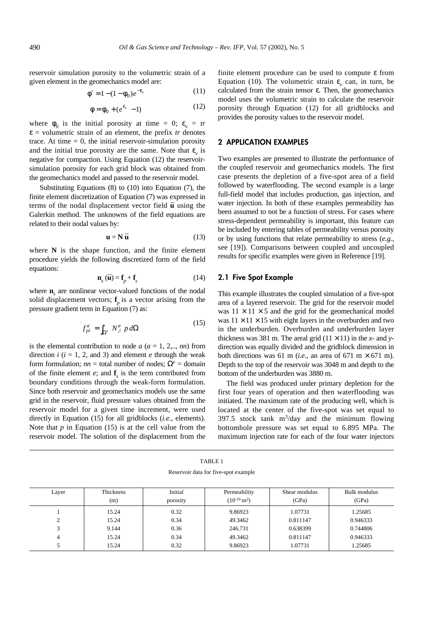reservoir simulation porosity to the volumetric strain of a given element in the geomechanics model are:

$$
\phi' = 1 - (1 - \phi_0)e^{-\varepsilon_v} \tag{11}
$$

$$
\phi = \phi_0 + (e^{\varepsilon_v} - 1) \tag{12}
$$

where  $\phi_0$  is the initial porosity at time = 0;  $\varepsilon_v = tr$  $\varepsilon$  = volumetric strain of an element, the prefix *tr* denotes trace. At time  $= 0$ , the initial reservoir-simulation porosity and the initial true porosity are the same. Note that  $\varepsilon$  is negative for compaction. Using Equation (12) the reservoirsimulation porosity for each grid block was obtained from the geomechanics model and passed to the reservoir model.

Substituting Equations (8) to (10) into Equation (7), the finite element discretization of Equation (7) was expressed in terms of the nodal displacement vector field  $\overline{u}$  using the Galerkin method. The unknowns of the field equations are related to their nodal values by:

$$
\mathbf{u} = \mathbf{N} \overline{\mathbf{u}} \tag{13}
$$

where **N** is the shape function, and the finite element procedure yields the following discretized form of the field equations:

$$
\mathbf{n}_{s}(\overline{\mathbf{u}}) = \mathbf{f}_{p} + \mathbf{f}_{s}
$$
 (14)

where **n**<sub>c</sub> are nonlinear vector-valued functions of the nodal solid displacement vectors;  $f_p$  is a vector arising from the pressure gradient term in Equation (7) as:

$$
f_{pi}^{a} = \int_{\Omega^{e}} N_{,i}^{a} p d\Omega
$$
 (15)

is the elemental contribution to node  $a$  ( $a = 1, 2, \ldots, nn$ ) from direction  $i$  ( $i = 1, 2,$  and 3) and element  $e$  through the weak form formulation;  $nn =$  total number of nodes;  $\Omega^e =$  domain of the finite element  $e$ ; and  $f<sub>s</sub>$  is the term contributed from boundary conditions through the weak-form formulation. Since both reservoir and geomechanics models use the same grid in the reservoir, fluid pressure values obtained from the reservoir model for a given time increment, were used directly in Equation (15) for all gridblocks (*i.e.,* elements). Note that  $p$  in Equation (15) is at the cell value from the reservoir model. The solution of the displacement from the finite element procedure can be used to compute ε from Equation (10). The volumetric strain  $\varepsilon$  can, in turn, be calculated from the strain tensor ε. Then, the geomechanics model uses the volumetric strain to calculate the reservoir porosity through Equation (12) for all gridblocks and provides the porosity values to the reservoir model.

#### **2 APPLICATION EXAMPLES**

Two examples are presented to illustrate the performance of the coupled reservoir and geomechanics models. The first case presents the depletion of a five-spot area of a field followed by waterflooding. The second example is a large full-field model that includes production, gas injection, and water injection. In both of these examples permeability has been assumed to not be a function of stress. For cases where stress-dependent permeability is important, this feature can be included by entering tables of permeability versus porosity or by using functions that relate permeability to stress (*e.g.,* see [19]). Comparisons between coupled and uncoupled results for specific examples were given in Reference [19].

#### **2.1 Five Spot Example**

This example illustrates the coupled simulation of a five-spot area of a layered reservoir. The grid for the reservoir model was  $11 \times 11 \times 5$  and the grid for the geomethanical model was  $11 \times 11 \times 15$  with eight layers in the overburden and two in the underburden. Overburden and underburden layer thickness was 381 m. The areal grid  $(11 \times 11)$  in the *x*- and *y*direction was equally divided and the gridblock dimension in both directions was 61 m (*i.e.*, an area of 671 m  $\times$  671 m). Depth to the top of the reservoir was 3048 m and depth to the bottom of the underburden was 3880 m.

The field was produced under primary depletion for the first four years of operation and then waterflooding was initiated. The maximum rate of the producing well, which is located at the center of the five-spot was set equal to 397.5 stock tank  $m^3$ /day and the minimum flowing bottomhole pressure was set equal to 6.895 MPa. The maximum injection rate for each of the four water injectors

| Reservoir data for five-spot example |                  |                     |                                             |                        |                       |  |
|--------------------------------------|------------------|---------------------|---------------------------------------------|------------------------|-----------------------|--|
| Layer                                | Thickness<br>(m) | Initial<br>porosity | Permeability<br>$(10^{-16} \,\mathrm{m}^2)$ | Shear modulus<br>(GPa) | Bulk modulus<br>(GPa) |  |
|                                      | 15.24            | 0.32                | 9.86923                                     | 1.07731                | 1.25685               |  |
| ↑                                    | 15.24            | 0.34                | 49.3462                                     | 0.811147               | 0.946333              |  |
| 3                                    | 9.144            | 0.36                | 246.731                                     | 0.638399               | 0.744806              |  |
| 4                                    | 15.24            | 0.34                | 49.3462                                     | 0.811147               | 0.946333              |  |
|                                      | 15.24            | 0.32                | 9.86923                                     | 1.07731                | 1.25685               |  |

TABLE 1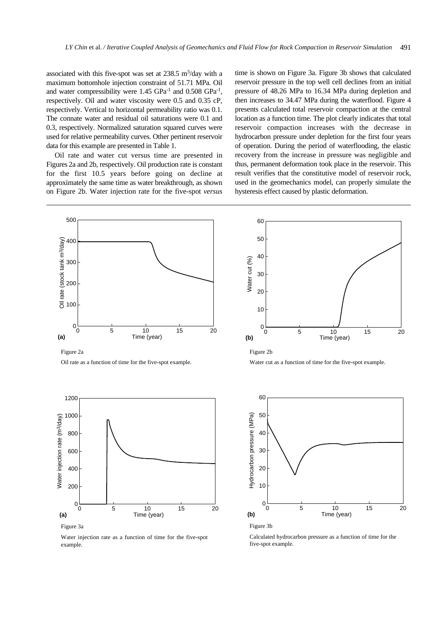associated with this five-spot was set at  $238.5 \text{ m}^3/\text{day}$  with a maximum bottomhole injection constraint of 51.71 MPa. Oil and water compressibility were  $1.45$  GPa<sup>-1</sup> and  $0.508$  GPa<sup>-1</sup>, respectively. Oil and water viscosity were 0.5 and 0.35 cP, respectively. Vertical to horizontal permeability ratio was 0.1. The connate water and residual oil saturations were 0.1 and 0.3, respectively. Normalized saturation squared curves were used for relative permeability curves. Other pertinent reservoir data for this example are presented in Table 1.

Oil rate and water cut versus time are presented in Figures 2a and 2b, respectively. Oil production rate is constant for the first 10.5 years before going on decline at approximately the same time as water breakthrough, as shown on Figure 2b. Water injection rate for the five-spot *versus* time is shown on Figure 3a. Figure 3b shows that calculated reservoir pressure in the top well cell declines from an initial pressure of 48.26 MPa to 16.34 MPa during depletion and then increases to 34.47 MPa during the waterflood. Figure 4 presents calculated total reservoir compaction at the central location as a function time. The plot clearly indicates that total reservoir compaction increases with the decrease in hydrocarbon pressure under depletion for the first four years of operation. During the period of waterflooding, the elastic recovery from the increase in pressure was negligible and thus, permanent deformation took place in the reservoir. This result verifies that the constitutive model of reservoir rock, used in the geomechanics model, can properly simulate the hysteresis effect caused by plastic deformation.



Figure 2a

Oil rate as a function of time for the five-spot example.



Figure 3a

Water injection rate as a function of time for the five-spot example.



Figure 2b

Water cut as a function of time for the five-spot example.



Figure 3b

Calculated hydrocarbon pressure as a function of time for the five-spot example.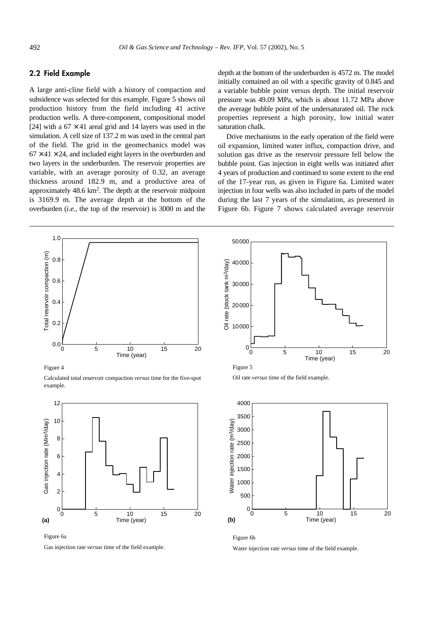## **2.2 Field Example**

A large anti-cline field with a history of compaction and subsidence was selected for this example. Figure 5 shows oil production history from the field including 41 active production wells. A three-component, compositional model [24] with a  $67 \times 41$  areal grid and 14 layers was used in the simulation. A cell size of 137.2 m was used in the central part of the field. The grid in the geomechanics model was  $67 \times 41 \times 24$ , and included eight layers in the overburden and two layers in the underburden. The reservoir properties are variable, with an average porosity of 0.32, an average thickness around 182.9 m, and a productive area of approximately 48.6 km2. The depth at the reservoir midpoint is 3169.9 m. The average depth at the bottom of the overburden (*i.e.,* the top of the reservoir) is 3000 m and the depth at the bottom of the underburden is 4572 m. The model initially contained an oil with a specific gravity of 0.845 and a variable bubble point versus depth. The initial reservoir pressure was 49.09 MPa, which is about 11.72 MPa above the average bubble point of the undersaturated oil. The rock properties represent a high porosity, low initial water saturation chalk.

Drive mechanisms in the early operation of the field were oil expansion, limited water influx, compaction drive, and solution gas drive as the reservoir pressure fell below the bubble point. Gas injection in eight wells was initiated after 4 years of production and continued to some extent to the end of the 17-year run, as given in Figure 6a. Limited water injection in four wells was also included in parts of the model during the last 7 years of the simulation, as presented in Figure 6b. Figure 7 shows calculated average reservoir



Figure 4

Calculated total reservoir compaction *versus* time for the five-spot example.



Figure 6a

Gas injection rate *versus* time of the field example.



Oil rate *versus* time of the field example.



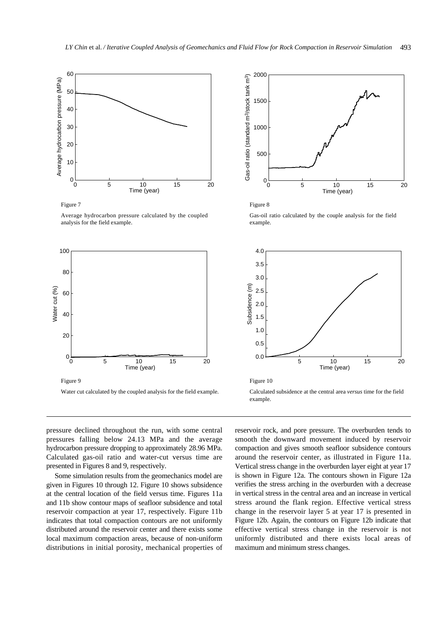

Figure 7

Average hydrocarbon pressure calculated by the coupled analysis for the field example.



Water cut calculated by the coupled analysis for the field example.



Figure 8 Gas-oil ratio calculated by the couple analysis for the field example.



Calculated subsidence at the central area *versus* time for the field example.

pressure declined throughout the run, with some central pressures falling below 24.13 MPa and the average hydrocarbon pressure dropping to approximately 28.96 MPa. Calculated gas-oil ratio and water-cut versus time are presented in Figures 8 and 9, respectively.

Some simulation results from the geomechanics model are given in Figures 10 through 12. Figure 10 shows subsidence at the central location of the field versus time. Figures 11a and 11b show contour maps of seafloor subsidence and total reservoir compaction at year 17, respectively. Figure 11b indicates that total compaction contours are not uniformly distributed around the reservoir center and there exists some local maximum compaction areas, because of non-uniform distributions in initial porosity, mechanical properties of reservoir rock, and pore pressure. The overburden tends to smooth the downward movement induced by reservoir compaction and gives smooth seafloor subsidence contours around the reservoir center, as illustrated in Figure 11a. Vertical stress change in the overburden layer eight at year 17 is shown in Figure 12a. The contours shown in Figure 12a verifies the stress arching in the overburden with a decrease in vertical stress in the central area and an increase in vertical stress around the flank region. Effective vertical stress change in the reservoir layer 5 at year 17 is presented in Figure 12b. Again, the contours on Figure 12b indicate that effective vertical stress change in the reservoir is not uniformly distributed and there exists local areas of maximum and minimum stress changes.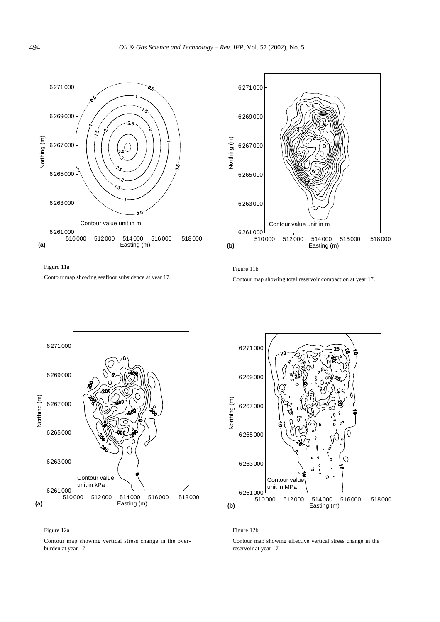

Figure 11a Contour map showing seafloor subsidence at year 17.





Contour map showing total reservoir compaction at year 17.



Figure 12a

Contour map showing vertical stress change in the overburden at year 17.



#### Figure 12b

Contour map showing effective vertical stress change in the reservoir at year 17.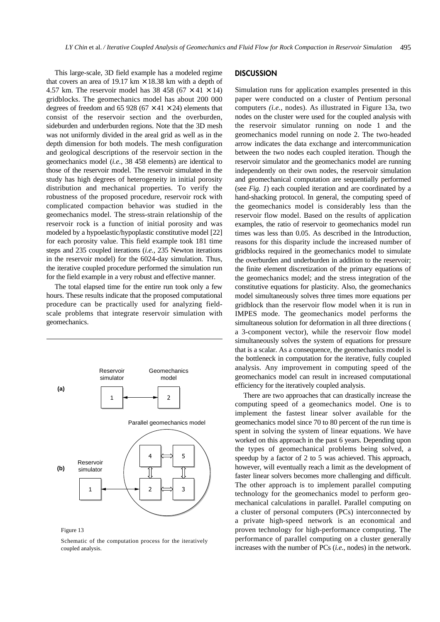This large-scale, 3D field example has a modeled regime that covers an area of 19.17 km  $\times$  18.38 km with a depth of 4.57 km. The reservoir model has 38 458 (67  $\times$  41  $\times$  14) gridblocks. The geomechanics model has about 200 000 degrees of freedom and 65 928 (67  $\times$  41  $\times$  24) elements that consist of the reservoir section and the overburden, sideburden and underburden regions. Note that the 3D mesh was not uniformly divided in the areal grid as well as in the depth dimension for both models. The mesh configuration and geological descriptions of the reservoir section in the geomechanics model (*i.e.,* 38 458 elements) are identical to those of the reservoir model. The reservoir simulated in the study has high degrees of heterogeneity in initial porosity distribution and mechanical properties. To verify the robustness of the proposed procedure, reservoir rock with complicated compaction behavior was studied in the geomechanics model. The stress-strain relationship of the reservoir rock is a function of initial porosity and was modeled by a hypoelastic/hypoplastic constitutive model [22] for each porosity value. This field example took 181 time steps and 235 coupled iterations (*i.e.,* 235 Newton iterations in the reservoir model) for the 6024-day simulation. Thus, the iterative coupled procedure performed the simulation run for the field example in a very robust and effective manner.

The total elapsed time for the entire run took only a few hours. These results indicate that the proposed computational procedure can be practically used for analyzing fieldscale problems that integrate reservoir simulation with geomechanics.



Figure 13

Schematic of the computation process for the iteratively coupled analysis.

#### **DISCUSSION**

Simulation runs for application examples presented in this paper were conducted on a cluster of Pentium personal computers *(i.e.,* nodes). As illustrated in Figure 13a, two nodes on the cluster were used for the coupled analysis with the reservoir simulator running on node 1 and the geomechanics model running on node 2. The two-headed arrow indicates the data exchange and intercommunication between the two nodes each coupled iteration. Though the reservoir simulator and the geomechanics model are running independently on their own nodes, the reservoir simulation and geomechanical computation are sequentially performed (see *Fig. 1*) each coupled iteration and are coordinated by a hand-shacking protocol. In general, the computing speed of the geomechanics model is considerably less than the reservoir flow model. Based on the results of application examples, the ratio of reservoir to geomechanics model run times was less than 0.05. As described in the Introduction, reasons for this disparity include the increased number of gridblocks required in the geomechanics model to simulate the overburden and underburden in addition to the reservoir; the finite element discretization of the primary equations of the geomechanics model; and the stress integration of the constitutive equations for plasticity. Also, the geomechanics model simultaneously solves three times more equations per gridblock than the reservoir flow model when it is run in IMPES mode. The geomechanics model performs the simultaneous solution for deformation in all three directions ( a 3-component vector), while the reservoir flow model simultaneously solves the system of equations for pressure that is a scalar. As a consequence, the geomechanics model is the bottleneck in computation for the iterative, fully coupled analysis. Any improvement in computing speed of the geomechanics model can result in increased computational efficiency for the iteratively coupled analysis.

There are two approaches that can drastically increase the computing speed of a geomechanics model. One is to implement the fastest linear solver available for the geomechanics model since 70 to 80 percent of the run time is spent in solving the system of linear equations. We have worked on this approach in the past 6 years. Depending upon the types of geomechanical problems being solved, a speedup by a factor of 2 to 5 was achieved. This approach, however, will eventually reach a limit as the development of faster linear solvers becomes more challenging and difficult. The other approach is to implement parallel computing technology for the geomechanics model to perform geomechanical calculations in parallel. Parallel computing on a cluster of personal computers (PCs) interconnected by a private high-speed network is an economical and proven technology for high-performance computing. The performance of parallel computing on a cluster generally increases with the number of PCs (*i.e.,* nodes) in the network.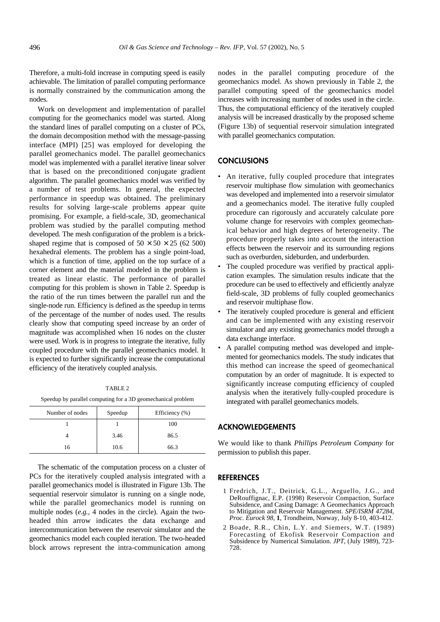Therefore, a multi-fold increase in computing speed is easily achievable. The limitation of parallel computing performance is normally constrained by the communication among the nodes.

Work on development and implementation of parallel computing for the geomechanics model was started. Along the standard lines of parallel computing on a cluster of PCs, the domain decomposition method with the message-passing interface (MPI) [25] was employed for developing the parallel geomechanics model. The parallel geomechanics model was implemented with a parallel iterative linear solver that is based on the preconditioned conjugate gradient algorithm. The parallel geomechanics model was verified by a number of test problems. In general, the expected performance in speedup was obtained. The preliminary results for solving large-scale problems appear quite promising. For example, a field-scale, 3D, geomechanical problem was studied by the parallel computing method developed. The mesh configuration of the problem is a brickshaped regime that is composed of  $50 \times 50 \times 25$  (62 500) hexahedral elements. The problem has a single point-load, which is a function of time, applied on the top surface of a corner element and the material modeled in the problem is treated as linear elastic. The performance of parallel computing for this problem is shown in Table 2. Speedup is the ratio of the run times between the parallel run and the single-node run. Efficiency is defined as the speedup in terms of the percentage of the number of nodes used. The results clearly show that computing speed increase by an order of magnitude was accomplished when 16 nodes on the cluster were used. Work is in progress to integrate the iterative, fully coupled procedure with the parallel geomechanics model. It is expected to further significantly increase the computational efficiency of the iteratively coupled analysis.

TABLE 2 Speedup by parallel computing for a 3D geomechanical problem

| Number of nodes | Speedup | Efficiency (%) |
|-----------------|---------|----------------|
|                 |         | 100            |
|                 | 3.46    | 86.5           |
| 16              | 10.6    | 66.3           |

The schematic of the computation process on a cluster of PCs for the iteratively coupled analysis integrated with a parallel geomechanics model is illustrated in Figure 13b. The sequential reservoir simulator is running on a single node, while the parallel geomechanics model is running on multiple nodes (*e.g.*, 4 nodes in the circle). Again the twoheaded thin arrow indicates the data exchange and intercommunication between the reservoir simulator and the geomechanics model each coupled iteration. The two-headed block arrows represent the intra-communication among nodes in the parallel computing procedure of the geomechanics model. As shown previously in Table 2, the parallel computing speed of the geomechanics model increases with increasing number of nodes used in the circle. Thus, the computational efficiency of the iteratively coupled analysis will be increased drastically by the proposed scheme (Figure 13b) of sequential reservoir simulation integrated with parallel geomechanics computation.

## **CONCLUSIONS**

- An iterative, fully coupled procedure that integrates reservoir multiphase flow simulation with geomechanics was developed and implemented into a reservoir simulator and a geomechanics model. The iterative fully coupled procedure can rigorously and accurately calculate pore volume change for reservoirs with complex geomechanical behavior and high degrees of heterogeneity. The procedure properly takes into account the interaction effects between the reservoir and its surrounding regions such as overburden, sideburden, and underburden.
- The coupled procedure was verified by practical application examples. The simulation results indicate that the procedure can be used to effectively and efficiently analyze field-scale, 3D problems of fully coupled geomechanics and reservoir multiphase flow.
- The iteratively coupled procedure is general and efficient and can be implemented with any existing reservoir simulator and any existing geomechanics model through a data exchange interface.
- A parallel computing method was developed and implemented for geomechanics models. The study indicates that this method can increase the speed of geomechanical computation by an order of magnitude. It is expected to significantly increase computing efficiency of coupled analysis when the iteratively fully-coupled procedure is integrated with parallel geomechanics models.

#### **ACKNOWLEDGEMENTS**

We would like to thank *Phillips Petroleum Company* for permission to publish this paper.

#### **REFERENCES**

- 1 Fredrich, J.T., Deitrick, G.L., Arguello, J.G., and DeRouffignac, E.P. (1998) Reservoir Compaction, Surface Subsidence, and Casing Damage: A Geomechanics Approach to Mitigation and Reservoir Management. *SPE/ISRM 47284, Proc. Eurock 98*, **1**, Trondheim, Norway, July 8-10, 403-412.
- 2 Boade, R.R., Chin, L.Y. and Siemers, W.T. (1989) Forecasting of Ekofisk Reservoir Compaction and Subsidence by Numerical Simulation. *JPT*, (July 1989), 723-728.